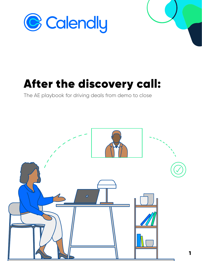

# After the discovery call:

The AE playbook for driving deals from demo to close

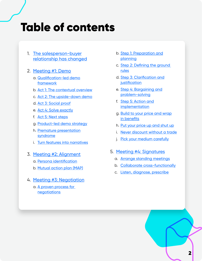# Table of contents

- 1. The salesperson-buyer [relationship has changed](#page-2-0)
- 2. [Meeting #1: Demo](#page-5-0)
	- a. [Qualification-led demo](#page-5-0)  framework
	- b. [Act 1: The contextual overview](#page-6-0)
	- c. [Act 2: The upside-down demo](#page-6-0)
	- d. [Act 3: Social proof](#page-7-0)
	- e. [Act 4: Solve exactly](#page-8-0)
	- f. [Act 5: Next steps](#page-10-0)
	- g. [Product-led demo strategy](#page-11-0)
	- h. [Premature presentation](#page-13-0)  syndrome
	- i. [Turn features into narratives](#page-14-0)
- 3. [Meeting #2: Alignment](#page-16-0)
	- a. [Persona identification](#page-17-0)
	- b. [Mutual action plan \(MAP\)](#page-19-0)
- 4. [Meeting #3: Negotiation](#page-21-0)
	- a. [A proven process for](#page-22-0)  negotiations
- b. [Step 1: Preparation and](#page-22-0)  planning
- c. [Step 2: Defining the ground](#page-23-0)  rules
- d. [Step 3: Clarification and](#page-23-0)  **justification**
- e. [Step 4: Bargaining and](#page-24-0)  problem-solving
- f. [Step 5: Action and](#page-24-0)  **implementation**
- g. [Build to your price and wrap](#page-25-0)  in benefits
- h. [Put your price up and shut up](#page-26-0)
- i. [Never discount without a trade](#page-26-0)
- j. [Pick your medium carefully](#page-27-0)
- 5. [Meeting #4: Signatures](#page-29-0)
	- a. [Arrange standing meetings](#page-29-0)
	- b. [Collaborate cross-functionally](#page-30-0)
	- c. [Listen, diagnose, prescribe](#page-30-0)

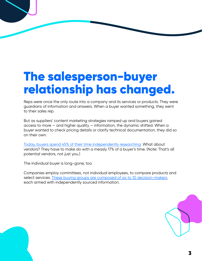# <span id="page-2-0"></span>The salesperson-buyer relationship has changed.

Reps were once the only route into a company and its services or products. They were guardians of information and answers. When a buyer wanted something, they went to their sales rep.

But as suppliers' content marketing strategies ramped up and buyers gained access to more — and higher quality — information, the dynamic shifted. When a buyer wanted to check pricing details or clarify technical documentation, they did so on their own.

[Today, buyers spend 45% of their time independently researching.](https://www.gartner.co.uk/en/sales/insights/b2b-buying-journey) What about vendors? They have to make do with a measly 17% of a buyer's time. (Note: That's all potential vendors, not just you.)

The individual buyer is long-gone, too.

Companies employ *committees*, not individual employees, to compare products and select services. These buying groups are composed of six to 10 decision-makers, each armed with independently sourced information.

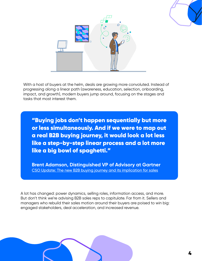



With a host of buyers at the helm, deals are growing more convoluted. Instead of progressing along a linear path (awareness, education, selection, onboarding, impact, and growth), modern buyers jump around, focusing on the stages and tasks that most interest them.

"Buying jobs don't happen sequentially but more or less simultaneously. And if we were to map out a real B2B buying journey, it would look a lot less like a step-by-step linear process and a lot more like a big bowl of spaghetti."

**Brent Adamson, Distinguished VP of Advisory at Gartner** [CSO Update: The new B2B buying journey and its implication for sales](https://www.gartner.co.uk/en/sales/insights/b2b-buying-journey)

A lot has changed: power dynamics, selling roles, information access, and more. But don't think we're advising B2B sales reps to capitulate. Far from it. Sellers and managers who rebuild their sales motion around their buyers are poised to win big: engaged stakeholders, deal acceleration, and increased revenue.

4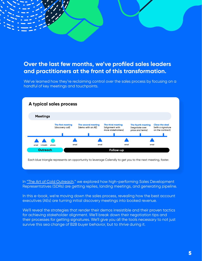## **Over the last few months, we've profiled sales leaders and practitioners at the front of this transformation.**

We've learned how they're reclaiming control over the sales process by focusing on a handful of key meetings and touchpoints.



In ["The Art of Cold Outreach,"](https://go.calendly.com/art-of-cold-outreach) we explored how high-performing Sales Development Representatives (SDRs) are getting replies, landing meetings, and generating pipeline.

In this e-book, we're moving down the sales process, revealing how the best account executives (AEs) are turning initial discovery meetings into booked revenue.

We'll reveal the strategies that render their demos irresistible and their proven tactics for achieving stakeholder alignment. We'll break down their negotiation tips and their processes for getting signatures. We'll give you all the tools necessary to not just survive this sea change of B2B buyer behavior, but to *thrive* during it.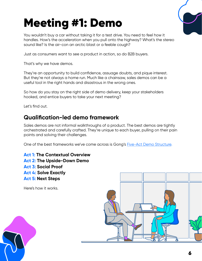# <span id="page-5-0"></span>Meeting #1: Demo

You wouldn't buy a car without taking it for a test drive. You need to feel how it handles. How's the acceleration when you pull onto the highway? What's the stereo sound like? Is the air-con an arctic blast or a feeble cough?

Just as consumers want to see a product in action, so do B2B buyers.

That's why we have demos.

They're an opportunity to build confidence, assuage doubts, and pique interest. But they're not always a home run. Much like a chainsaw, sales demos can be a useful tool in the right hands and disastrous in the wrong ones.

So how do you stay on the right side of demo delivery, keep your stakeholders hooked, and entice buyers to take your next meeting?

Let's find out.

### **Qualification-led demo framework**

Sales demos are not informal walkthroughs of a product. The best demos are tightly orchestrated and carefully crafted. They're unique to each buyer, pulling on their pain points and solving their challenges.

One of the best frameworks we've come across is Gong's **Five-Act Demo Structure**.

**[Act 1:](#page-6-0) The Contextual Overview [Act 2:](#page-6-0) The Upside-Down Demo [Act 3:](#page-7-0) Social Proof [Act 4: S](#page-8-0)olve Exactly [Act 5:](#page-10-0) Next Steps**

Here's how it works.



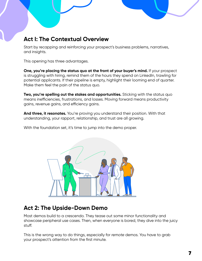## <span id="page-6-0"></span>**Act I: The Contextual Overview**

Start by recapping and reinforcing your prospect's business problems, narratives, and insights.

This opening has three advantages.

**One, you're placing the status quo at the front of your buyer's mind.** If your prospect is struggling with hiring, remind them of the hours they spend on LinkedIn, trawling for potential applicants. If their pipeline is empty, highlight their looming end of quarter. Make them feel the pain of the status quo.

**Two, you're spelling out the stakes and opportunities.** Sticking with the status quo means inefficiencies, frustrations, and losses. Moving forward means productivity gains, revenue gains, and efficiency gains.

**And three, it resonates.** You're proving you understand their position. With that understanding, your rapport, relationship, and trust are all growing.

With the foundation set, it's time to jump into the demo proper.



## **Act 2: The Upside-Down Demo**

Most demos build to a crescendo. They tease out some minor functionality and showcase peripheral use cases. Then, when everyone is bored, they dive into the juicy stuff.

This is the wrong way to do things, especially for *remote* demos. You have to grab your prospect's attention from the first minute.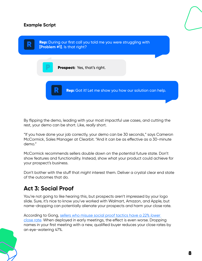#### <span id="page-7-0"></span>**Example Script**



By flipping the demo, leading with your most impactful use cases, and cutting the rest, your demo can be short. Like, *really* short.

"If you have done your job correctly, your demo can be 30 seconds," says Cameron McCormick, Sales Manager at Clearbit. "And it can be as effective as a 30-minute demo."

McCormick recommends sellers double down on the potential future state. Don't show features and functionality. Instead, show what your product could achieve for your prospect's business.

Don't bother with the stuff that *might* interest them. Deliver a crystal clear end state of the outcomes that do.

# **Act 3: Social Proof**

You're not going to like hearing this, but prospects aren't impressed by your logo slide. Sure, it's nice to know you've worked with Walmart, Amazon, and Apple, but name-dropping can potentially alienate your prospects and harm your close rate.

According to Gong[, sellers who misuse social proof tactics have a 22%](https://www.gong.io/blog/social-proof/) *lower* [close rate.](https://www.gong.io/blog/social-proof/) When deployed in early meetings, the effect is even worse. Dropping names in your first meeting with a new, qualified buyer reduces your close rates by an eye-watering 47%.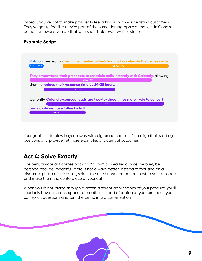<span id="page-8-0"></span>Instead, you've got to make prospects feel a kinship with your existing customers. They've got to feel like they're part of the same demographic or market. In Gong's demo framework, you do that with short before-and-after stories.

#### **Example Script**



Your goal isn't to blow buyers away with big brand names. It's to align their starting positions and provide yet more examples of potential outcomes.

# **Act 4: Solve Exactly**

The penultimate act comes back to McCormick's earlier advice: be brief, be personalized, be impactful. More is not always better. Instead of focusing on a disparate group of use cases, select the one or two that mean most to your prospect and make them the centerpiece of your call.

When you're not racing through a dozen different applications of your product, you'll suddenly have time and space to breathe. Instead of talking at your prospect, you can solicit questions and turn the demo into a conversation.

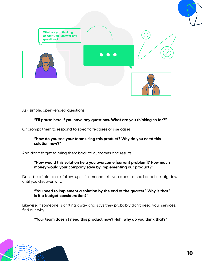

Ask simple, open-ended questions:

#### **"I'll pause here if you have any questions. What are you thinking so far?"**

Or prompt them to respond to specific features or use cases:

#### **"How do you see your team using this product? Why do you need this solution now?"**

And don't forget to bring them back to outcomes and results:

#### **"How would this solution help you overcome [current problem]? How much money would your company save by implementing our product?"**

Don't be afraid to ask follow-ups. If someone tells you about a hard deadline, dig down until you discover why.

#### **"You need to implement a solution by the end of the quarter? Why is that? Is it a budget consideration?"**

Likewise, if someone is drifting away and says they probably don't need your services, find out why.

**"Your team doesn't need this product now? Huh, why do you think that?"**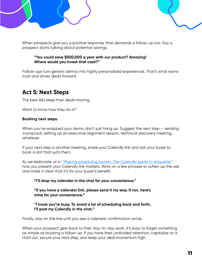

<span id="page-10-0"></span>When prospects give you a positive response, that demands a follow-up too. Say a prospect starts talking about potential savings.

#### **"You could save \$500,000 a year with our product? Amazing! Where would you invest that cash?"**

Follow-ups turn generic demos into highly personalized experiences. That's what earns trust and drives deals forward.

# **Act 5: Next Steps**

The best AEs keep their deals moving.

Want to know how they do it?

#### **Booking next steps.**

When you've wrapped your demo, don't just hang up. Suggest the next step – sending a proposal, setting up an executive alignment session, technical discovery meeting, whatever.

If your next step is another meeting, share your Calendly link and ask your buyer to book a slot that suits them.

As we elaborate on in ["Making scheduling human: The Calendly guide to etiquette,"](https://go.calendly.com/scheduling-etiquette) how you present your Calendly link matters. Work on a few phrases to soften up the ask and make it clear that it's for your buyer's benefit.

#### **"I'll drop my calendar in the chat for your convenience."**

**"If you have a calendar link, please send it my way. If not, here's mine for your convenience."**

#### **"I know you're busy. To avoid a lot of scheduling back and forth, I'll post my Calendly in the chat."**

Finally, stay on the line until you see a calendar confirmation arrive.

When your prospect gets back to their day-to-day work, it's easy to forget something as simple as booking a follow-up. If you have their undivided attention, capitalize on it. Hold out, secure your next step, and keep your deal momentum high.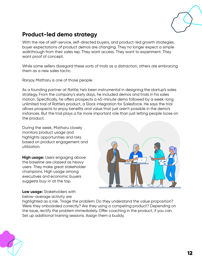

## <span id="page-11-0"></span>**Product-led demo strategy**

With the rise of self-service, self-directed buyers, and product-led growth strategies, buyer expectations of product demos are changing. They no longer expect a simple walkthrough from their sales rep. They want access. They want to experiment. They want proof of concept.

While some sellers disregard these sorts of trials as a distraction, others are embracing them as a new sales tactic.

Ranjay Matharu is one of those people.

As a founding partner at Rattle, he's been instrumental in designing the startup's sales strategy. From the company's early days, he included demos and trials in his sales motion. Specifically, he offers prospects a 45-minute demo followed by a week-long unlimited trial of Rattle's product, a Slack integration for Salesforce. He says the trial allows prospects to enjoy benefits and value that just aren't possible in the demo's instances. But the trial plays a far more important role than just letting people loose on the product.

During the week, Matharu closely monitors product usage and highlights opportunities and risks based on product engagement and utilization.

**High usage:** Users engaging above the baseline are classed as heavy users. They make great stakeholder champions. High usage among executives and economic buyers suggests buy-in at the top.

**Low usage:** Stakeholders with below-average activity are



highlighted as a risk. Triage the problem: Do they understand the value proposition? Were they onboarded correctly? Are they using a competing product? Depending on the issue, rectify the problem immediately. Offer coaching in the product, if you can. Set up additional training sessions. Assign them a buddy.

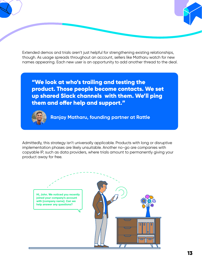Extended demos and trials aren't just helpful for strengthening existing relationships, though. As usage spreads throughout an account, sellers like Matharu watch for new names appearing. Each new user is an opportunity to add another thread to the deal.

"We look at who's trailing and testing the product. Those people become contacts. We set up shared Slack channels with them. We'll ping them and offer help and support."



**Ranjay Matharu, founding partner at Rattle**

Admittedly, this strategy isn't universally applicable. Products with long or disruptive implementation phases are likely unsuitable. Another no-go are companies with copyable IP, such as data providers, where trials amount to permanently giving your product away for free.

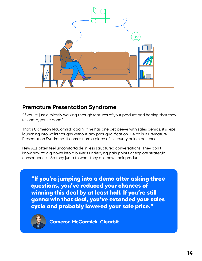<span id="page-13-0"></span>

### **Premature Presentation Syndrome**

"If you're just aimlessly walking through features of your product and hoping that they resonate, you're done."

That's Cameron McCormick again. If he has one pet peeve with sales demos, it's reps launching into walkthroughs without any prior qualification. He calls it Premature Presentation Syndrome. It comes from a place of insecurity or inexperience.

New AEs often feel uncomfortable in less structured conversations. They don't know how to dig down into a buyer's underlying pain points or explore strategic consequences. So they jump to what they do know: their product.

"If you're jumping into a demo after asking three questions, you've reduced your chances of winning this deal by at least half. If you're still gonna win that deal, you've extended your sales cycle and probably lowered your sale price."



**Cameron McCormick, Clearbit**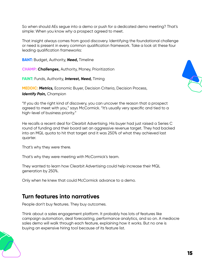<span id="page-14-0"></span>So when should AEs segue into a demo or push for a dedicated demo meeting? That's simple: When you know *why* a prospect agreed to meet.

That insight always comes from good discovery. Identifying the foundational challenge or need is present in every common qualification framework. Take a look at these four leading qualification frameworks:

**BANT:** Budget, Authority, *Need***,** Timeline

**CHAMP:** *Challenges***,** Authority, Money, Prioritization

**FAINT:** Funds, Authority, *Interest, Need,* Timing

**MEDDIC:** *Metrics,* Economic Buyer, Decision Criteria, Decision Process, *Identify Pain,* Champion

"If you do the right kind of discovery, you can uncover the reason that a prospect agreed to meet with you," says McCormick. "It's usually very specific and tied to a high-level of business priority."

He recalls a recent deal for Clearbit Advertising. His buyer had just raised a Series C round of funding and their board set an aggressive revenue target. They had backed into an MQL quota to hit that target and it was 250% of what they achieved last quarter.

That's why they were there.

That's why they were meeting with McCormick's team.

They wanted to learn how Clearbit Advertising could help increase their MQL generation by 250%.

Only when he knew that could McCormick advance to a demo.

### **Turn features into narratives**

People don't buy features. They buy outcomes.

Think about a sales engagement platform. It probably has lots of features like campaign automation, deal forecasting, performance analytics, and so on. A mediocre sales demo will walk through each feature, explaining how it works. But no one is buying an expensive hiring tool because of its feature list.

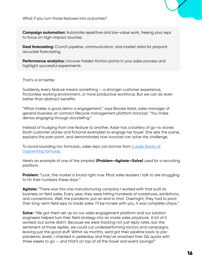**Campaign automation:** Automate repetitive and low-value work, freeing your reps to focus on high-impact touches.

**Deal forecasting:** Crunch pipeline, communication, and market data for pinpoint accurate forecasting.

**Performance analytics:** Uncover hidden friction points in your sales process and highlight successful experiments.

That's a lot better.

Suddenly, every feature means something — a stronger customer experience, frictionless working environment, or more productive workforce. But we can do even better than abstract benefits.

"What makes a good demo is *engagement*," says Brooke Adair, sales manager of general business at contract lifecycle management platform Ironclad. "You make demos engaging through storytelling."

Instead of trudging from one feature to another, Adair has a battery of go-to stories (both customer stories and fictional examples) to engage her buyer. She sets the scene, explains the pain point, and demonstrates how Ironclad can solve the challenge.

To avoid sounding too formulaic, sales reps can borrow from a wide library of [copywriting formulas.](https://copyhackers.com/2015/10/copywriting-formula/)

Here's an example of one of the simplest **(Problem—Agitate—Solve)** used for a recruiting platform.

**Problem:** "Look, the market is brutal right now. Most sales leaders I talk to are struggling to hit their numbers these days."

**Agitate:** "There was this one manufacturing company I worked with that built its business on field sales. Every year, they were hitting hundreds of roadshows, exhibitions, and conventions. Well, the pandemic put an end to that. Overnight, they had to pivot their long-term field reps to inside sales. I'll be honest with you, it was complete chaos."

**Solve:** "We got them set up on our sales engagement platform and our solution engineers helped turn their field strategy into an inside sales playbook. A lot of it worked, but some didn't. Because we were tracking not just reply rates, but the sentiment of those replies, we could cut underperforming tactics and campaigns, leaving just the good stuff. Within six months, we'd got their pipeline back to prepandemic levels. I checked in yesterday and they've smashed their Q4 quota with three weeks to go — and that's on top of all the travel and event savings!"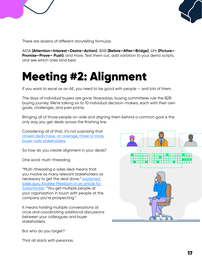<span id="page-16-0"></span>



There are dozens of different storytelling formulas:

AIDA **(Attention—Interest—Desire—Action)**, BAB **(Before—After—Bridge)**, 4Ps **(Picture— Promise—Prove— Push)**, and more. Test them out, add variation to your demo scripts, and see which ones land best.

# Meeting #2: Alignment

If you want to excel as an AE, you need to be good with people — and lots of them.

The days of individual buyers are gone. Nowadays, buying committees rule the B2B buying journey. We're talking six to 10 individual decision-makers, each with their own goals, challenges, and pain points.

Bringing all of those people on-side and aligning them behind a common goal is the only way you get deals across the finishing line.

Considering all of that, it's not surprising that closed deals have, on average, three or more buyer-side stakeholders.

So how do you create alignment in your deals?

One word: multi-threading.

"Multi-threading a sales deal means that you involve as many relevant stakeholders as necessary to get the deal done,[" explained](https://www.saleshacker.com/multi-threading-sales/)  [sales guru Andrew Mewborn in an article for](https://www.saleshacker.com/multi-threading-sales/)  [SalesHacker.](https://www.saleshacker.com/multi-threading-sales/) "You get multiple people at your organization in touch with people at the company you're prospecting."

It means holding multiple conversations at once and coordinating additional discussions between your colleagues and buyer stakeholders.



But who do you target?

That all starts with personas.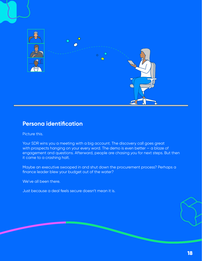<span id="page-17-0"></span>

### **Persona identification**

Picture this.

Your SDR wins you a meeting with a big account. The discovery call goes great with prospects hanging on your every word. The demo is even better — a blaze of engagement and questions. Afterward, people are chasing *you* for next steps. But then it came to a crashing halt.

Maybe an executive swooped in and shut down the procurement process? Perhaps a finance leader blew your budget out of the water?

We've all been there.

Just because a deal feels secure doesn't mean it is.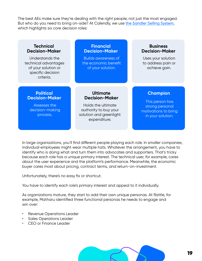The best AEs make sure they're dealing with the *right* people, not just the most engaged. But who do you need to bring on-side? At Calendly, we use [the Sandler Selling System](https://www.sandler.com/sandler-selling-system/), which highlights six core decision roles:

| <b>Technical</b><br><b>Decision-Maker</b>                                                        | <b>Financial</b><br><b>Decision-Maker</b>                                                                                          | <b>Business</b><br><b>Decision-Maker</b>                                                           |
|--------------------------------------------------------------------------------------------------|------------------------------------------------------------------------------------------------------------------------------------|----------------------------------------------------------------------------------------------------|
| Understands the<br>technical advantages<br>of your solution or<br>specific decision<br>criteria. | <b>Builds awareness of</b><br>the economic benefit<br>of your solution.                                                            | Uses your solution<br>to address pain or<br>achieve gain.                                          |
| <b>Political</b><br><b>Decision-Maker</b><br>Assesses the<br>decision-making<br>process.         | <b>Ultimate</b><br><b>Decision-Maker</b><br>Holds the ultimate<br>authority to buy your<br>solution and greenlight<br>expenditure. | <b>Champion</b><br>This person has<br>strong personal<br>motivations to bring<br>in your solution. |

In large organizations, you'll find different people playing each role. In smaller companies, individual employees might wear multiple hats. Whatever the arrangement, you have to identify who is doing what and turn them into advocates and supporters. That's tricky because each role has a unique primary interest. The technical user, for example, cares about the user experience and the platform's performance. Meanwhile, the economic buyer cares most about pricing, contract terms, and return-on-investment.

Unfortunately, there's no easy fix or shortcut.

You have to identify each role's primary interest and appeal to it individually.

As organizations mature, they start to add their own unique personas. At Rattle, for example, Matharu identified three functional personas he needs to engage and win over:

- Revenue Operations Leader
- Sales Operations Leader
- CEO or Finance Leader

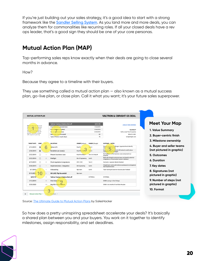<span id="page-19-0"></span>If you're just building out your sales strategy, it's a good idea to start with a strong framework like the [Sandler Selling System](https://www.sandler.com/sandler-selling-system/). As you land more and more deals, you can analyze them for commonalities like recurring roles. If all your closed deals have a rev ops leader, that's a good sign they should be one of your core personas.

# **Mutual Action Plan (MAP)**

Top-performing sales reps know exactly when their deals are going to close several months in advance.

How?

Because they agree to a timeline with their buyers.

They use something called a mutual action plan — also known as a mutual success plan, go-live plan, or close plan. Call it what you want; it's your future sales superpower.



Source: [The Ultimate Guide to Mutual Action Plans](https://www.saleshacker.com/mutual-action-plans/) by SalesHacker

So how does a pretty uninspiring spreadsheet accelerate your deals? It's basically a shared plan between you and your buyers. You work on it together to identify milestones, assign responsibility, and set deadlines.

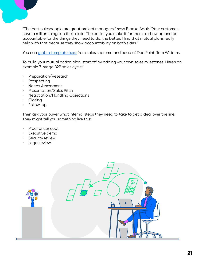"The best salespeople are great project managers," says Brooke Adair. "Your customers have a million things on their plate. The easier you make it for them to show up and be accountable for the things they need to do, the better. I find that mutual plans really help with that because they show accountability on both sides."

You ca[n grab a template here f](https://docs.google.com/spreadsheets/d/1DkeIBRM5T2mMCHjybZvEsNDpoSTDRN-u90Om1LfUYhE/edit#gid=1782631920)rom sales supremo and head of DealPoint, Tom Williams.

To build your mutual action plan, start off by adding your own sales milestones. Here's an example 7-stage B2B sales cycle:

- Preparation/Research
- **Prospecting**
- Needs Assessment
- Presentation/Sales Pitch
- Negotiation/Handling Objections
- Closing
- Follow-up

Then ask your buyer what internal steps they need to take to get a deal over the line. They might tell you something like this:

- Proof of concept
- Executive demo
- **Security review**
- Legal review

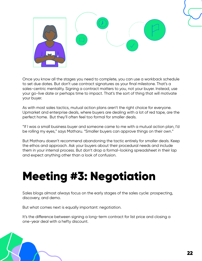<span id="page-21-0"></span>

Once you know all the stages you need to complete, you can use a workback schedule to set due dates. But don't use contract signatures as your final milestone. That's a sales-centric mentality. Signing a contract matters to *you*, not your buyer. Instead, use your go-live date or perhaps time to impact. That's the sort of thing that will motivate your buyer.

As with most sales tactics, mutual action plans aren't the right choice for everyone. Upmarket and enterprise deals, where buyers are dealing with a lot of red tape, are the perfect home. But they'll often feel too formal for smaller deals.

"If I was a small business buyer and someone came to me with a mutual action plan, I'd be rolling my eyes," says Matharu. "Smaller buyers can approve things on their own."

But Matharu doesn't recommend abandoning the tactic entirely for smaller deals. Keep the ethos and approach. Ask your buyers about their procedural needs and include them in your internal process. But don't drop a formal-looking spreadsheet in their lap and expect anything other than a look of confusion.

# Meeting #3: Negotiation

Sales blogs almost always focus on the early stages of the sales cycle: prospecting, discovery, and demo.

But what comes next is equally important: negotiation.

It's the difference between signing a long-term contract for list price and closing a one-year deal with a hefty discount.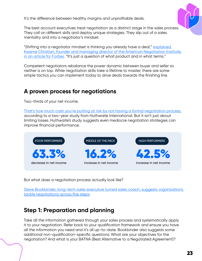<span id="page-22-0"></span>It's the difference between healthy margins and unprofitable deals.



The best account executives treat negotiation as a distinct stage in the sales process. They call on different skills and deploy unique strategies. They slip out of a sales mentality and into a negotiator's mindset.

"Shifting into a negotiator mindset is thinking you already have a deal," explained [Kwame Christian, founder and managing director of the American Negotiation Institute,](https://www.forbes.com/sites/kwamechristian/2021/03/31/using-a-negotiation-mindset-to-win-more-in-sales/?sh=423bfd13f8bf)  [in an article for Forbes.](https://www.forbes.com/sites/kwamechristian/2021/03/31/using-a-negotiation-mindset-to-win-more-in-sales/?sh=423bfd13f8bf) "It's just a question of what product and in what terms."

Competent negotiators rebalance the power dynamic between buyer and seller so neither is on top. While negotiation skills take a lifetime to master, there are some simple tactics you can implement today to drive deals towards the finishing line.

# **A proven process for negotiations**

Two-thirds of your net income.

[That's how much cash you're putting at risk by not having a formal negotiation process,](https://cdn2.hubspot.net/hubfs/4000014/Data%20Capture%20Documents/Improving%20Corporate%20Negotiations.pdf?__hssc=235931038.4.1565625354401&__hstc=235931038.5197b51d13468931cbfef65b59c16d16.1565625354401.1565625354401.1565625354401.1&__hsfp=728255346&hsCtaTracking=1c74ba63-dcd0-4351-867a-8c8f81c90175%7C275b743f-a704-4ad8-a460-d18ed40c6ebd)  according to a two-year study from Huthwaite International. But it isn't just about limiting losses. Huthwaite's study suggests even mediocre negotiation strategies can *improve* financial performance.



But what does a negotiation process actually look like?

[Steve Bookbinder, long-term sales executive turned sales coach, suggests organizations](https://www.impactplus.com/blog/win-sales-negotiation)  tackle negotiations across five steps:

# **Step 1: Preparation and planning**

Take all the information gathered through your sales process and systematically apply it to your negotiation. Refer back to your qualification framework and ensure you have all the information you need and it's all up-to-date. Bookbinder also suggests some additional non-qualification-specific questions: What are your objectives for the negotiation? And what is your BATNA (Best Alternative to a Negotiated Agreement)?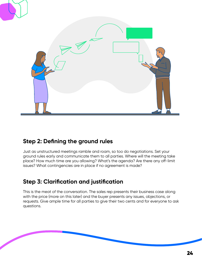<span id="page-23-0"></span>

# **Step 2: Defining the ground rules**

Just as unstructured meetings ramble and roam, so too do negotiations. Set your ground rules early and communicate them to all parties. Where will the meeting take place? How much time are you allowing? What's the agenda? Are there any off-limit issues? What contingencies are in place if no agreement is made?

# **Step 3: Clarification and justification**

This is the meat of the conversation. The sales rep presents their business case along with the price (more on this later) and the buyer presents any issues, objections, or requests. Give ample time for all parties to give their two cents and for everyone to ask questions.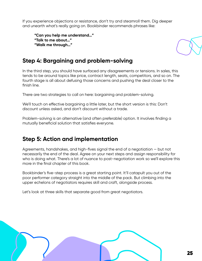<span id="page-24-0"></span>If you experience objections or resistance, don't try and steamroll them. Dig deeper and unearth what's really going on. Bookbinder recommends phrases like:

**"Can you help me understand…" "Talk to me about…" "Walk me through…"**



# **Step 4: Bargaining and problem-solving**

In the third step, you should have surfaced any disagreements or tensions. In sales, this tends to be around topics like price, contract length, seats, competitors, and so on. The fourth stage is all about defusing those concerns and pushing the deal closer to the finish line.

There are two strategies to call on here: bargaining and problem-solving.

We'll touch on effective bargaining a little later, but the short version is this: Don't discount unless asked, and don't discount without a trade.

Problem-solving is an alternative (and often preferable) option. It involves finding a mutually beneficial solution that satisfies everyone.

## **Step 5: Action and implementation**

Agreements, handshakes, and high-fives signal the end of a negotiation — but not necessarily the end of the deal. Agree on your next steps and assign responsibility for who is doing what. There's a lot of nuance to post-negotiation work so we'll explore this more in the final chapter of this book.

Bookbinder's five-step process is a great starting point. It'll catapult you out of the poor performer category straight into the middle of the pack. But climbing into the upper echelons of negotiators requires skill and craft, alongside process.

Let's look at three skills that separate good from great negotiators.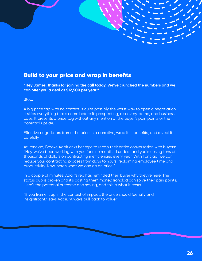### <span id="page-25-0"></span>Build to your price and wrap in benefits

**"Hey James, thanks for joining the call today. We've crunched the numbers and we can offer you a deal at \$12,500 per year."**

#### Stop.

A big price tag with no context is quite possibly the worst way to open a negotiation. It skips everything that's come before it: prospecting, discovery, demo, and business case. It presents a price tag without any mention of the buyer's pain points or the potential upside.

Effective negotiators frame the price in a narrative, wrap it in benefits, and reveal it carefully.

At Ironclad, Brooke Adair asks her reps to recap their entire conversation with buyers: "Hey, we've been working with you for nine months. I understand you're losing tens of thousands of dollars on contracting inefficiencies every year. With Ironclad, we can reduce your contracting process from days to hours, reclaiming employee time and productivity. Now, here's what we can do on price."

In a couple of minutes, Adair's rep has reminded their buyer why they're here. The status quo is broken and it's costing them money. Ironclad can solve their pain points. Here's the potential outcome and saving, and this is what it costs.

"If you frame it up in the context of impact, the price should feel silly and insignificant," says Adair. "Always pull back to value."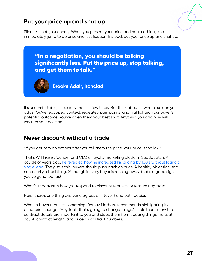# <span id="page-26-0"></span>**Put your price up and shut up**

Silence is not your enemy. When you present your price and hear nothing, don't immediately jump to defense and justification. Instead, put your price up and shut up.



It's uncomfortable, especially the first few times. But think about it: what else can you add? You've recapped context, repeated pain points, and highlighted your buyer's potential outcome. You've given them your best shot. Anything you add now will weaken your position.

### **Never discount without a trade**

"If you get zero objections after you tell them the price, your price is too low."

That's Will Fraser, founder and CEO of loyalty marketing platform SaaSquatch. A couple of years ago, [he revealed how he increased his pricing by 100% without losing a](https://uk.copper.com/resources/sales-strategy-guide#e-book-chapter-anchor-05)  [single lead.](https://uk.copper.com/resources/sales-strategy-guide#e-book-chapter-anchor-05) The gist is this: buyers should push back on price. A healthy objection isn't necessarily a bad thing. (Although if every buyer is running away, that's a good sign you've gone too far.)

What's important is how you respond to discount requests or feature upgrades.

Here, there's one thing everyone agrees on: Never hand out freebies.

When a buyer requests something, Ranjay Matharu recommends highlighting it as a material change: "Hey, look, that's going to change things." It lets them know the contract details are important to you and stops them from treating things like seat count, contract length, and price as abstract numbers.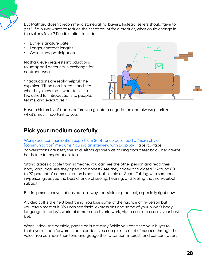<span id="page-27-0"></span>

But Matharu doesn't recommend stonewalling buyers. Instead, sellers should "give to get." If a buyer wants to reduce their seat count for a product, what could change in the seller's favor? Possible offers include:

- Earlier signature date
- Longer contract lengths
- Case study participation

Matharu even requests introductions to untapped accounts in exchange for contract tweaks.

"Introductions are really helpful," he explains. "I'll look on LinkedIn and see who they know that I want to sell to. I've asked for introductions to people, teams, and executives."



Have a hierarchy of trades before you go into a negotiation and always prioritize what's most important to you.

# **Pick your medium carefully**

[Workplace communication expert Kim Scott once described a "hierarchy of](https://blog.dropbox.com/topics/work-culture/kim-scott-interview)  [\[communication\] mediums," during an interview with Dropbox.](https://blog.dropbox.com/topics/work-culture/kim-scott-interview) Face-to-face conversations are best, she said. Although she was talking about feedback, her advice holds true for negotiation, too.

Sitting across a table from someone, you can see the other person and read their body language. Are they open and honest? Are they cagey and closed? "Around 80 to 90 percent of communication is nonverbal," explains Scott. Talking with someone in-person gives you the best chance of seeing, hearing, and feeling that non-verbal subtext.

But in-person conversations aren't always possible or practical, especially right now.

A video call is the next best thing. You lose some of the nuance of in-person but you retain most of it. You can see facial expressions and some of your buyer's body language. In today's world of remote and hybrid work, video calls are usually your best bet.

When video isn't possible, phone calls are okay. While you can't see your buyer roll their eyes or lean forward in anticipation, you can pick up a lot of nuance through their voice. You can hear their tone and gauge their attention, interest, and concentration.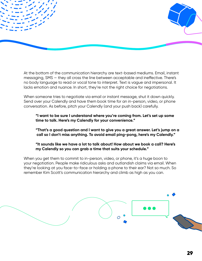

At the bottom of the communication hierarchy are text-based mediums. Email, instant messaging, SMS — they all cross the line between acceptable and ineffective. There's no body language to read or vocal tone to interpret. Text is vague and impersonal. It lacks emotion and nuance. In short, they're not the right choice for negotiations.

When someone tries to negotiate via email or instant message, shut it down quickly. Send over your Calendly and have them book time for an in-person, video, or phone conversation. As before, pitch your Calendly (and your push back) carefully.

**"I want to be sure I understand where you're coming from. Let's set up some time to talk. Here's my Calendly for your convenience."**

**"That's a good question and I want to give you a great answer. Let's jump on a call so I don't miss anything. To avoid email ping-pong, here's my Calendly."**

**"It sounds like we have a lot to talk about! How about we book a call? Here's my Calendly so you can grab a time that suits your schedule."**

When you get them to commit to in-person, video, or phone, it's a huge boon to your negotiation. People make ridiculous asks and outlandish claims via email. When they're looking at you face-to-face or holding a phone to their ear? Not so much. So remember Kim Scott's communication hierarchy and climb as high as you can.

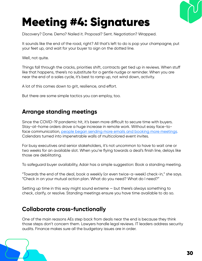

# <span id="page-29-0"></span>Meeting #4: Signatures

Discovery? Done. Demo? Nailed it. Proposal? Sent. Negotiation? Wrapped.

It sounds like the end of the road, right? All that's left to do is pop your champagne, put your feet up, and wait for your buyer to sign on the dotted line.

Well, not quite.

Things fall through the cracks, priorities shift, contracts get tied up in reviews. When stuff like that happens, there's no substitute for a gentle nudge or reminder. When you are near the end of a sales cycle, it's best to ramp up, not wind down, activity.

A lot of this comes down to grit, resilience, and effort.

But there are some simple tactics you can employ, too.

## **Arrange standing meetings**

Since the COVID-19 pandemic hit, it's been more difficult to secure time with buyers. Stay-at-home orders drove a huge increase in remote work. Without easy face-toface communication, [people began sending more emails and booking more meetings.](https://hbswk.hbs.edu/item/you-re-right-you-are-working-longer-and-attending-more-meetings)  Calendars turned into impenetrable walls of multicolored event invites.

For busy executives and senior stakeholders, it's not uncommon to have to wait one or two weeks for an available slot. When you're flying towards a deal's finish line, delays like those are debilitating.

To safeguard buyer availability, Adair has a simple suggestion: Book a standing meeting.

"Towards the end of the deal, book a weekly (or even twice-a-week) check-in," she says. "Check in on your mutual action plan. What do you need? What do I need?"

Setting up time in this way might sound extreme — but there's always something to check, clarify, or resolve. Standing meetings ensure you have time available to do so.

### **Collaborate cross-functionally**

One of the main reasons AEs step back from deals near the end is because they think those steps don't concern them. Lawyers handle legal reviews. IT leaders address security audits. Finance makes sure all the budgetary issues are in order.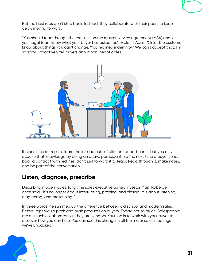<span id="page-30-0"></span>But the best reps don't step back. Instead, they collaborate with their peers to keep deals moving forward.

"You should read through the red lines on the master service agreement (MSA) and let your legal team know what your buyer has asked for," explains Adair. "Or let the customer know about things you can't change. 'You redlined indemnity? We can't accept that, I'm so sorry.' Proactively tell buyers about non-negotiables."



It takes time for reps to learn the ins and outs of different departments, but you only acquire that knowledge by being an active participant. So the next time a buyer sends back a contract with redlines, don't just forward it to legal. Read through it, make notes, and be part of the conversation.

# **Listen, diagnose, prescribe**

Describing modern sales, longtime sales executive turned investor Mark Roberge once said: "It's no longer about interrupting, pitching, and closing. It is about listening, diagnosing, and prescribing."

In three words, he summed up the difference between old school and modern sales. Before, reps would pitch and push products on buyers. Today, not so much. Salespeople are as much collaborators as they are vendors. Your job is to work with your buyer to discover how you can help. You can see this change in all the major sales meetings we've unpacked.